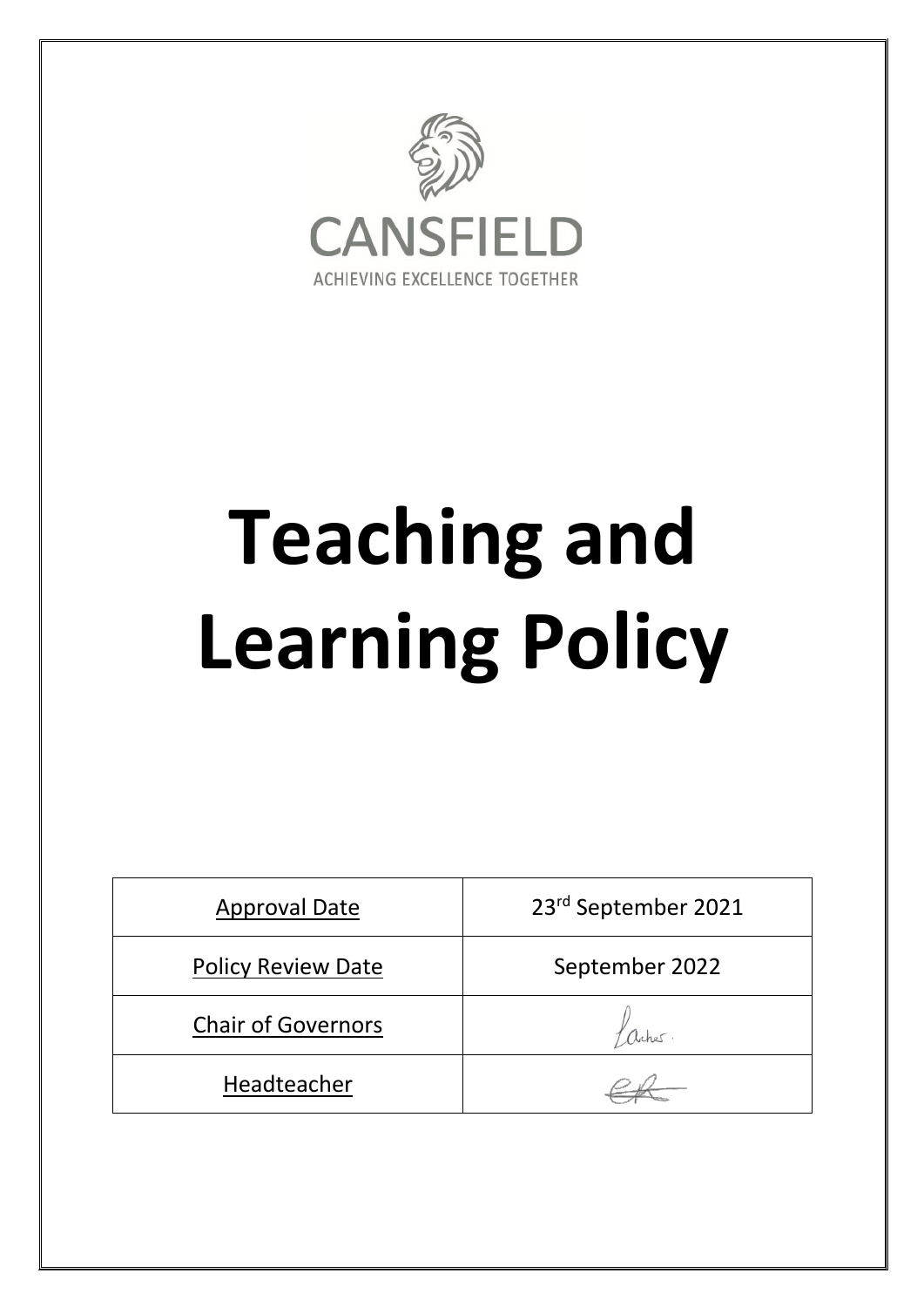

# **Teaching and Learning Policy**

| <b>Approval Date</b>      | 23rd September 2021 |
|---------------------------|---------------------|
| <b>Policy Review Date</b> | September 2022      |
| <b>Chair of Governors</b> |                     |
| Headteacher               |                     |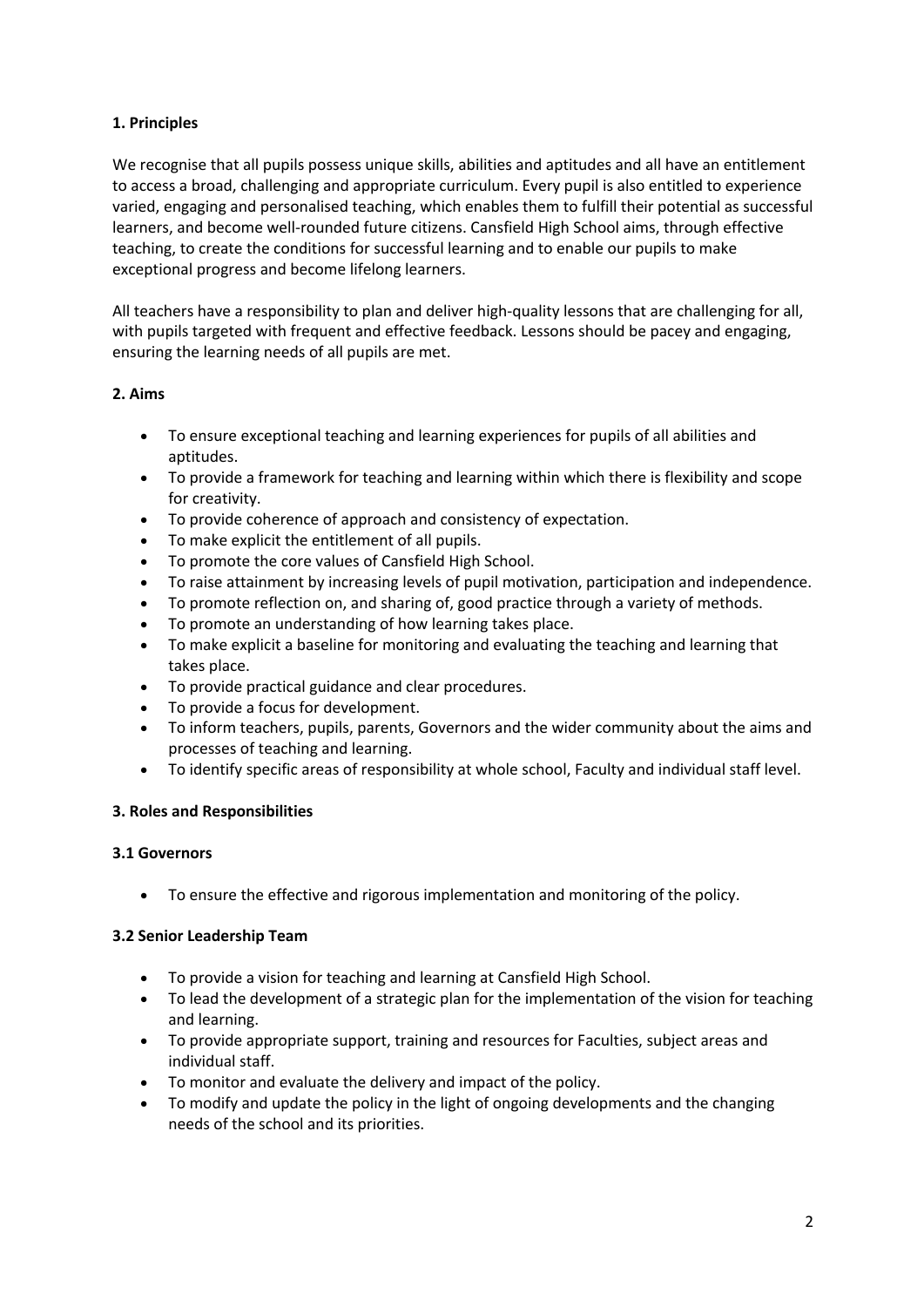# **1. Principles**

We recognise that all pupils possess unique skills, abilities and aptitudes and all have an entitlement to access a broad, challenging and appropriate curriculum. Every pupil is also entitled to experience varied, engaging and personalised teaching, which enables them to fulfill their potential as successful learners, and become well-rounded future citizens. Cansfield High School aims, through effective teaching, to create the conditions for successful learning and to enable our pupils to make exceptional progress and become lifelong learners.

All teachers have a responsibility to plan and deliver high-quality lessons that are challenging for all, with pupils targeted with frequent and effective feedback. Lessons should be pacey and engaging, ensuring the learning needs of all pupils are met.

# **2. Aims**

- To ensure exceptional teaching and learning experiences for pupils of all abilities and aptitudes.
- To provide a framework for teaching and learning within which there is flexibility and scope for creativity.
- To provide coherence of approach and consistency of expectation.
- To make explicit the entitlement of all pupils.
- To promote the core values of Cansfield High School.
- To raise attainment by increasing levels of pupil motivation, participation and independence.
- To promote reflection on, and sharing of, good practice through a variety of methods.
- To promote an understanding of how learning takes place.
- To make explicit a baseline for monitoring and evaluating the teaching and learning that takes place.
- To provide practical guidance and clear procedures.
- To provide a focus for development.
- To inform teachers, pupils, parents, Governors and the wider community about the aims and processes of teaching and learning.
- To identify specific areas of responsibility at whole school, Faculty and individual staff level.

# **3. Roles and Responsibilities**

## **3.1 Governors**

• To ensure the effective and rigorous implementation and monitoring of the policy.

## **3.2 Senior Leadership Team**

- To provide a vision for teaching and learning at Cansfield High School.
- To lead the development of a strategic plan for the implementation of the vision for teaching and learning.
- To provide appropriate support, training and resources for Faculties, subject areas and individual staff.
- To monitor and evaluate the delivery and impact of the policy.
- To modify and update the policy in the light of ongoing developments and the changing needs of the school and its priorities.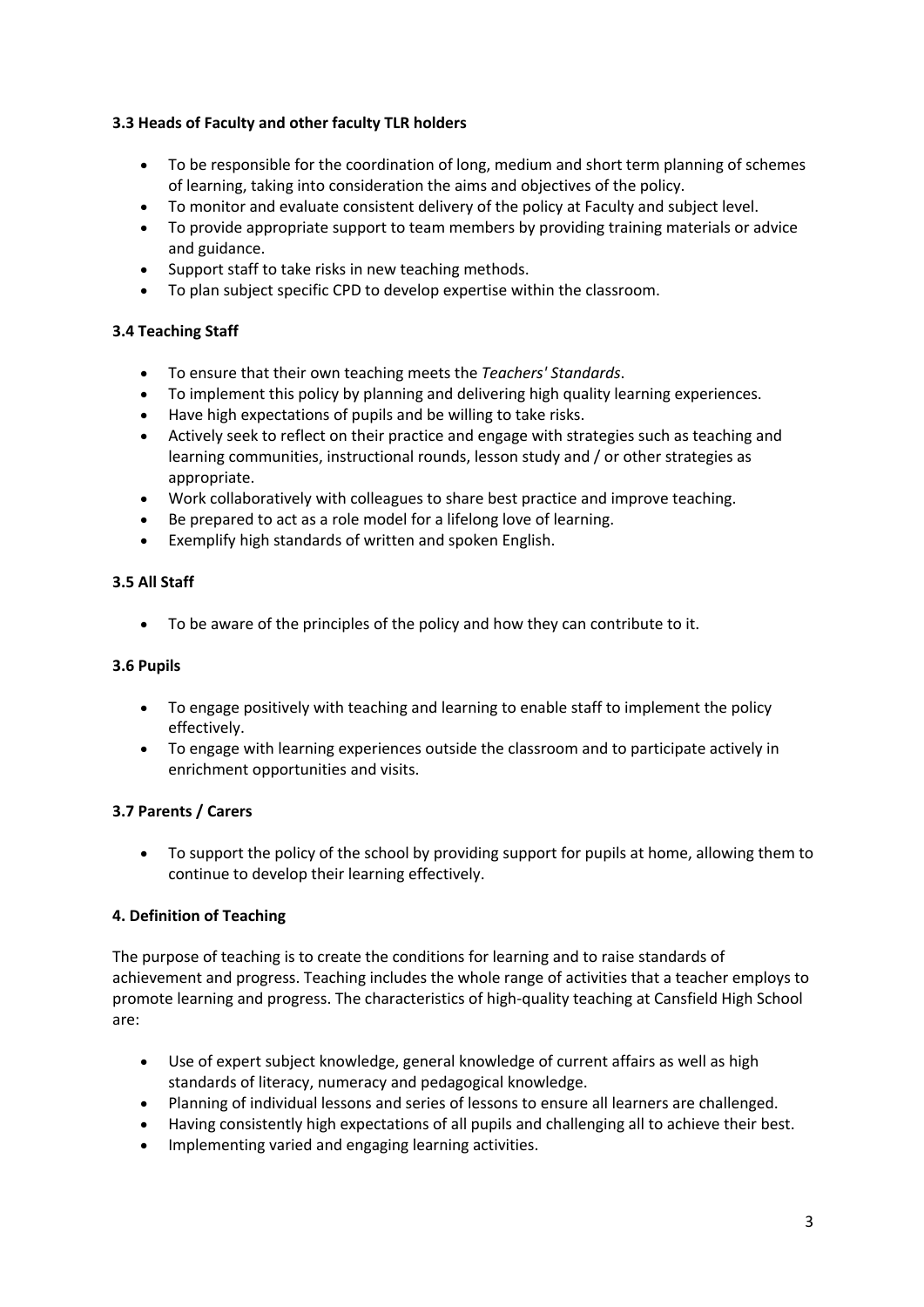## **3.3 Heads of Faculty and other faculty TLR holders**

- To be responsible for the coordination of long, medium and short term planning of schemes of learning, taking into consideration the aims and objectives of the policy.
- To monitor and evaluate consistent delivery of the policy at Faculty and subject level.
- To provide appropriate support to team members by providing training materials or advice and guidance.
- Support staff to take risks in new teaching methods.
- To plan subject specific CPD to develop expertise within the classroom.

## **3.4 Teaching Staff**

- To ensure that their own teaching meets the *Teachers' Standards*.
- To implement this policy by planning and delivering high quality learning experiences.
- Have high expectations of pupils and be willing to take risks.
- Actively seek to reflect on their practice and engage with strategies such as teaching and learning communities, instructional rounds, lesson study and / or other strategies as appropriate.
- Work collaboratively with colleagues to share best practice and improve teaching.
- Be prepared to act as a role model for a lifelong love of learning.
- Exemplify high standards of written and spoken English.

#### **3.5 All Staff**

• To be aware of the principles of the policy and how they can contribute to it.

#### **3.6 Pupils**

- To engage positively with teaching and learning to enable staff to implement the policy effectively.
- To engage with learning experiences outside the classroom and to participate actively in enrichment opportunities and visits.

## **3.7 Parents / Carers**

• To support the policy of the school by providing support for pupils at home, allowing them to continue to develop their learning effectively.

## **4. Definition of Teaching**

The purpose of teaching is to create the conditions for learning and to raise standards of achievement and progress. Teaching includes the whole range of activities that a teacher employs to promote learning and progress. The characteristics of high-quality teaching at Cansfield High School are:

- Use of expert subject knowledge, general knowledge of current affairs as well as high standards of literacy, numeracy and pedagogical knowledge.
- Planning of individual lessons and series of lessons to ensure all learners are challenged.
- Having consistently high expectations of all pupils and challenging all to achieve their best.
- Implementing varied and engaging learning activities.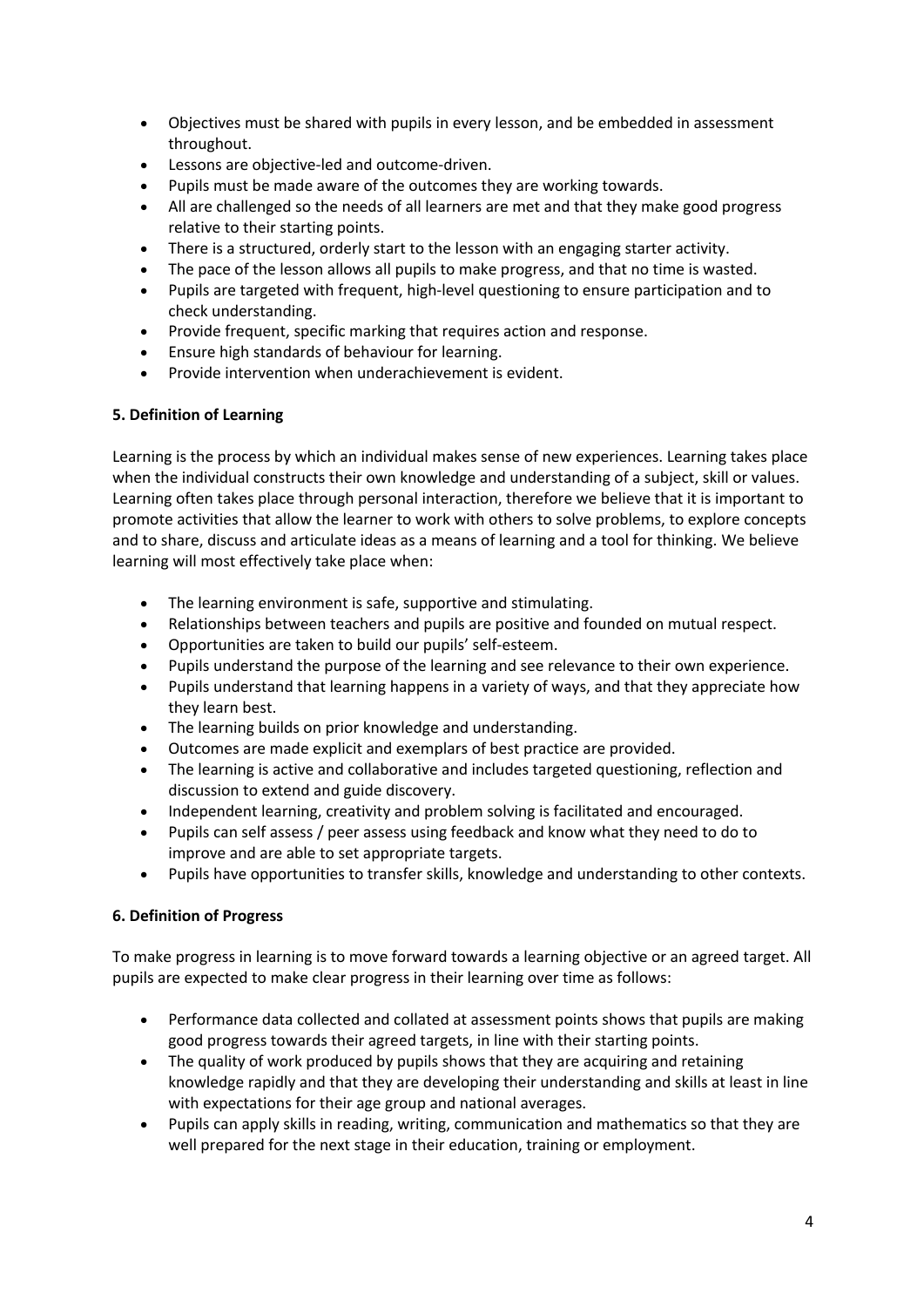- Objectives must be shared with pupils in every lesson, and be embedded in assessment throughout.
- Lessons are objective-led and outcome-driven.
- Pupils must be made aware of the outcomes they are working towards.
- All are challenged so the needs of all learners are met and that they make good progress relative to their starting points.
- There is a structured, orderly start to the lesson with an engaging starter activity.
- The pace of the lesson allows all pupils to make progress, and that no time is wasted.
- Pupils are targeted with frequent, high-level questioning to ensure participation and to check understanding.
- Provide frequent, specific marking that requires action and response.
- Ensure high standards of behaviour for learning.
- Provide intervention when underachievement is evident.

# **5. Definition of Learning**

Learning is the process by which an individual makes sense of new experiences. Learning takes place when the individual constructs their own knowledge and understanding of a subject, skill or values. Learning often takes place through personal interaction, therefore we believe that it is important to promote activities that allow the learner to work with others to solve problems, to explore concepts and to share, discuss and articulate ideas as a means of learning and a tool for thinking. We believe learning will most effectively take place when:

- The learning environment is safe, supportive and stimulating.
- Relationships between teachers and pupils are positive and founded on mutual respect.
- Opportunities are taken to build our pupils' self-esteem.
- Pupils understand the purpose of the learning and see relevance to their own experience.
- Pupils understand that learning happens in a variety of ways, and that they appreciate how they learn best.
- The learning builds on prior knowledge and understanding.
- Outcomes are made explicit and exemplars of best practice are provided.
- The learning is active and collaborative and includes targeted questioning, reflection and discussion to extend and guide discovery.
- Independent learning, creativity and problem solving is facilitated and encouraged.
- Pupils can self assess / peer assess using feedback and know what they need to do to improve and are able to set appropriate targets.
- Pupils have opportunities to transfer skills, knowledge and understanding to other contexts.

# **6. Definition of Progress**

To make progress in learning is to move forward towards a learning objective or an agreed target. All pupils are expected to make clear progress in their learning over time as follows:

- Performance data collected and collated at assessment points shows that pupils are making good progress towards their agreed targets, in line with their starting points.
- The quality of work produced by pupils shows that they are acquiring and retaining knowledge rapidly and that they are developing their understanding and skills at least in line with expectations for their age group and national averages.
- Pupils can apply skills in reading, writing, communication and mathematics so that they are well prepared for the next stage in their education, training or employment.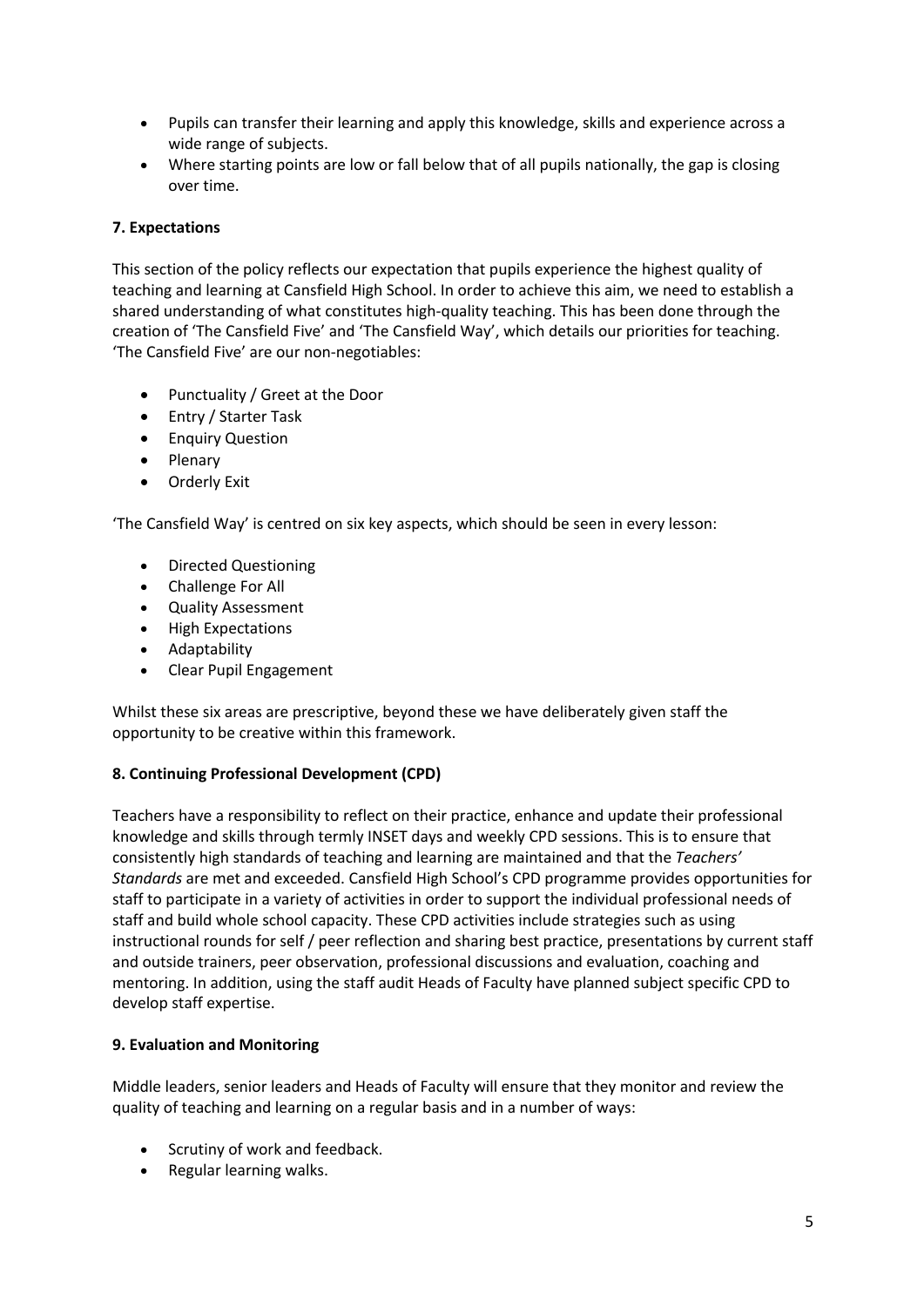- Pupils can transfer their learning and apply this knowledge, skills and experience across a wide range of subjects.
- Where starting points are low or fall below that of all pupils nationally, the gap is closing over time.

## **7. Expectations**

This section of the policy reflects our expectation that pupils experience the highest quality of teaching and learning at Cansfield High School. In order to achieve this aim, we need to establish a shared understanding of what constitutes high-quality teaching. This has been done through the creation of 'The Cansfield Five' and 'The Cansfield Way', which details our priorities for teaching. 'The Cansfield Five' are our non-negotiables:

- Punctuality / Greet at the Door
- Entry / Starter Task
- Enquiry Question
- Plenary
- Orderly Exit

'The Cansfield Way' is centred on six key aspects, which should be seen in every lesson:

- Directed Questioning
- Challenge For All
- Quality Assessment
- High Expectations
- Adaptability
- Clear Pupil Engagement

Whilst these six areas are prescriptive, beyond these we have deliberately given staff the opportunity to be creative within this framework.

## **8. Continuing Professional Development (CPD)**

Teachers have a responsibility to reflect on their practice, enhance and update their professional knowledge and skills through termly INSET days and weekly CPD sessions. This is to ensure that consistently high standards of teaching and learning are maintained and that the *Teachers' Standards* are met and exceeded. Cansfield High School's CPD programme provides opportunities for staff to participate in a variety of activities in order to support the individual professional needs of staff and build whole school capacity. These CPD activities include strategies such as using instructional rounds for self / peer reflection and sharing best practice, presentations by current staff and outside trainers, peer observation, professional discussions and evaluation, coaching and mentoring. In addition, using the staff audit Heads of Faculty have planned subject specific CPD to develop staff expertise.

## **9. Evaluation and Monitoring**

Middle leaders, senior leaders and Heads of Faculty will ensure that they monitor and review the quality of teaching and learning on a regular basis and in a number of ways:

- Scrutiny of work and feedback.
- Regular learning walks.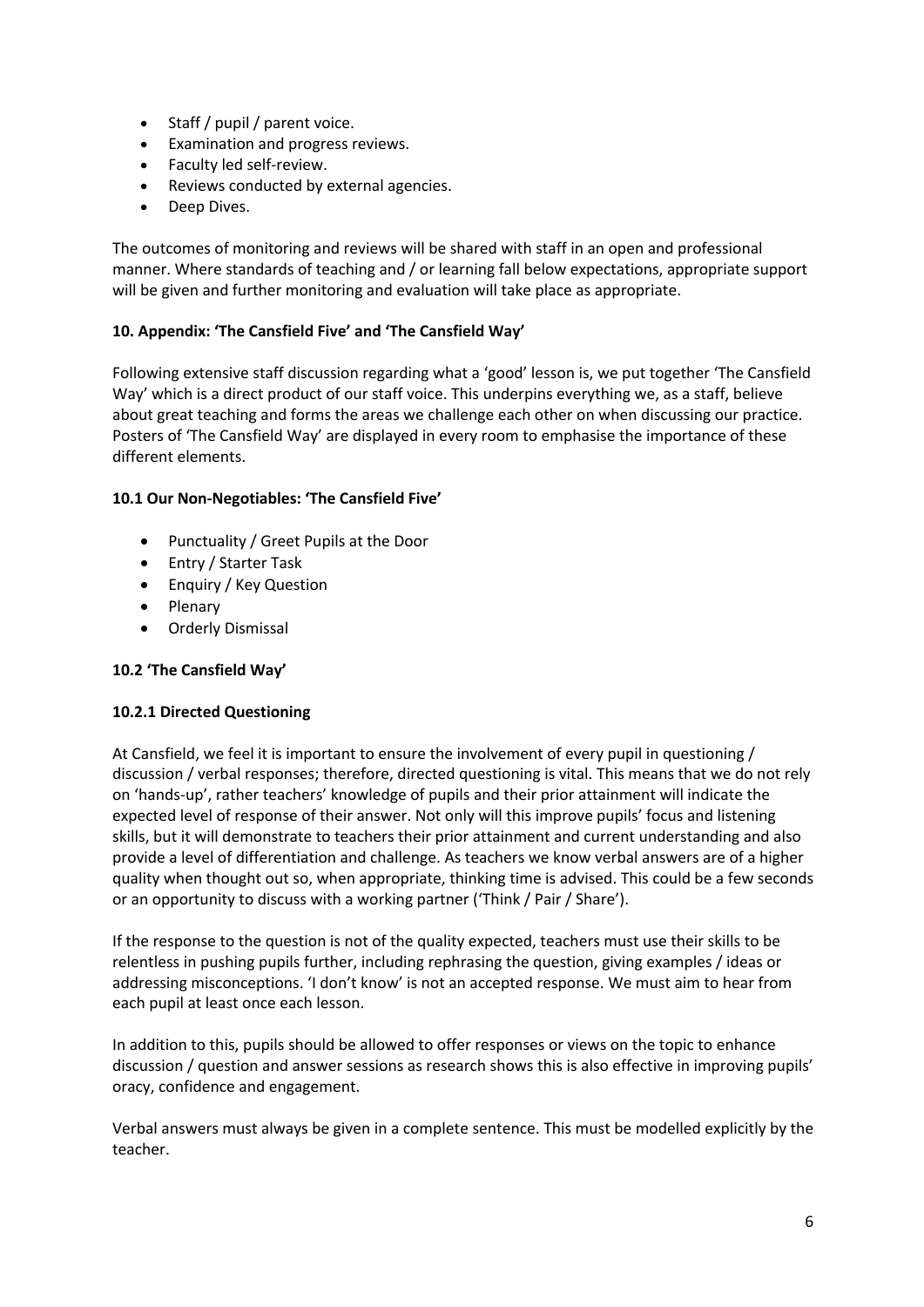- Staff / pupil / parent voice.
- Examination and progress reviews.
- Faculty led self-review.
- Reviews conducted by external agencies.
- Deep Dives.

The outcomes of monitoring and reviews will be shared with staff in an open and professional manner. Where standards of teaching and / or learning fall below expectations, appropriate support will be given and further monitoring and evaluation will take place as appropriate.

## **10. Appendix: 'The Cansfield Five' and 'The Cansfield Way'**

Following extensive staff discussion regarding what a 'good' lesson is, we put together 'The Cansfield Way' which is a direct product of our staff voice. This underpins everything we, as a staff, believe about great teaching and forms the areas we challenge each other on when discussing our practice. Posters of 'The Cansfield Way' are displayed in every room to emphasise the importance of these different elements.

#### **10.1 Our Non-Negotiables: 'The Cansfield Five'**

- Punctuality / Greet Pupils at the Door
- Entry / Starter Task
- Enquiry / Key Question
- Plenary
- Orderly Dismissal

## **10.2 'The Cansfield Way'**

## **10.2.1 Directed Questioning**

At Cansfield, we feel it is important to ensure the involvement of every pupil in questioning / discussion / verbal responses; therefore, directed questioning is vital. This means that we do not rely on 'hands-up', rather teachers' knowledge of pupils and their prior attainment will indicate the expected level of response of their answer. Not only will this improve pupils' focus and listening skills, but it will demonstrate to teachers their prior attainment and current understanding and also provide a level of differentiation and challenge. As teachers we know verbal answers are of a higher quality when thought out so, when appropriate, thinking time is advised. This could be a few seconds or an opportunity to discuss with a working partner ('Think / Pair / Share').

If the response to the question is not of the quality expected, teachers must use their skills to be relentless in pushing pupils further, including rephrasing the question, giving examples / ideas or addressing misconceptions. 'I don't know' is not an accepted response. We must aim to hear from each pupil at least once each lesson.

In addition to this, pupils should be allowed to offer responses or views on the topic to enhance discussion / question and answer sessions as research shows this is also effective in improving pupils' oracy, confidence and engagement.

Verbal answers must always be given in a complete sentence. This must be modelled explicitly by the teacher.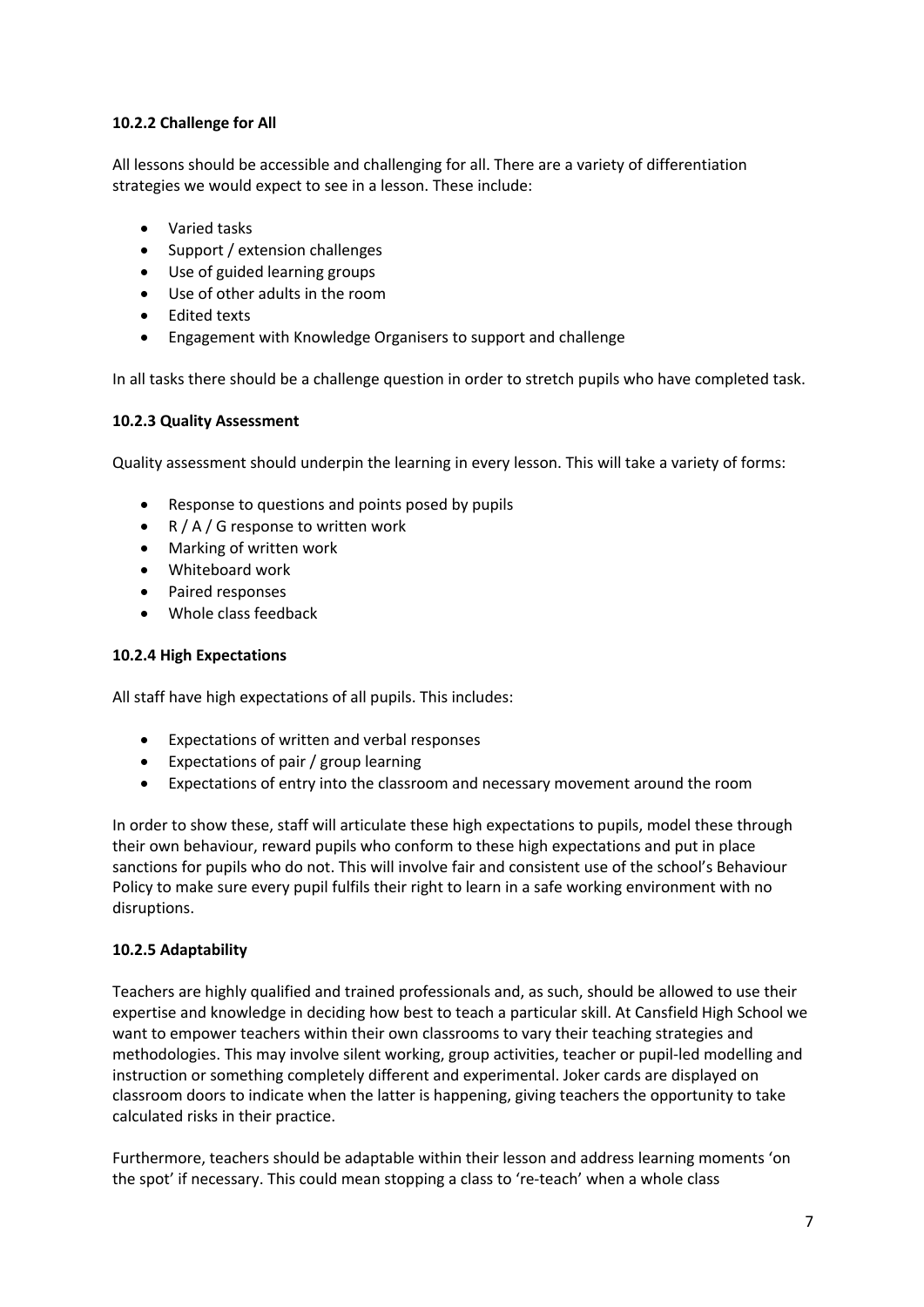# **10.2.2 Challenge for All**

All lessons should be accessible and challenging for all. There are a variety of differentiation strategies we would expect to see in a lesson. These include:

- Varied tasks
- Support / extension challenges
- Use of guided learning groups
- Use of other adults in the room
- Edited texts
- Engagement with Knowledge Organisers to support and challenge

In all tasks there should be a challenge question in order to stretch pupils who have completed task.

#### **10.2.3 Quality Assessment**

Quality assessment should underpin the learning in every lesson. This will take a variety of forms:

- Response to questions and points posed by pupils
- $R / A / G$  response to written work
- Marking of written work
- Whiteboard work
- Paired responses
- Whole class feedback

#### **10.2.4 High Expectations**

All staff have high expectations of all pupils. This includes:

- Expectations of written and verbal responses
- Expectations of pair / group learning
- Expectations of entry into the classroom and necessary movement around the room

In order to show these, staff will articulate these high expectations to pupils, model these through their own behaviour, reward pupils who conform to these high expectations and put in place sanctions for pupils who do not. This will involve fair and consistent use of the school's Behaviour Policy to make sure every pupil fulfils their right to learn in a safe working environment with no disruptions.

#### **10.2.5 Adaptability**

Teachers are highly qualified and trained professionals and, as such, should be allowed to use their expertise and knowledge in deciding how best to teach a particular skill. At Cansfield High School we want to empower teachers within their own classrooms to vary their teaching strategies and methodologies. This may involve silent working, group activities, teacher or pupil-led modelling and instruction or something completely different and experimental. Joker cards are displayed on classroom doors to indicate when the latter is happening, giving teachers the opportunity to take calculated risks in their practice.

Furthermore, teachers should be adaptable within their lesson and address learning moments 'on the spot' if necessary. This could mean stopping a class to 're-teach' when a whole class